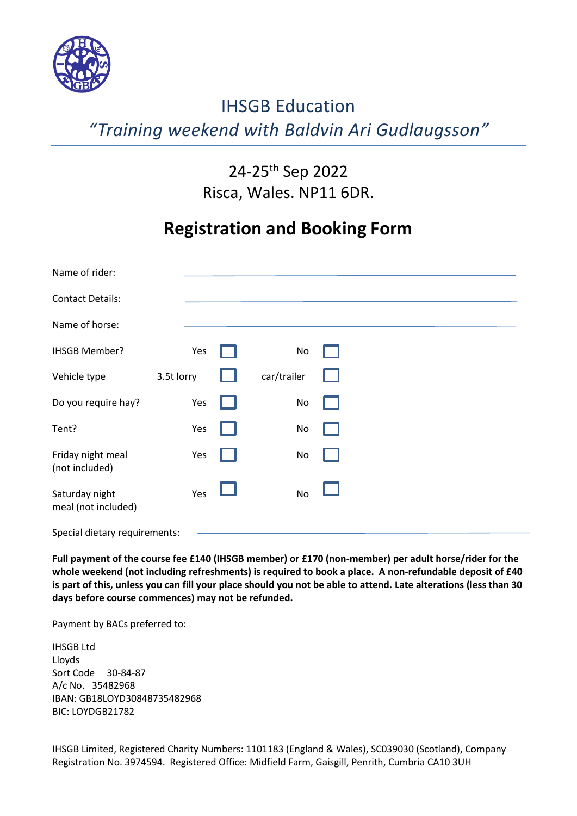

# IHSGB Education *"Training weekend with Baldvin Ari Gudlaugsson"*

## 24-25th Sep 2022 Risca, Wales. NP11 6DR.

## **Registration and Booking Form**

| Name of rider:                        |            |             |  |  |
|---------------------------------------|------------|-------------|--|--|
| <b>Contact Details:</b>               |            |             |  |  |
| Name of horse:                        |            |             |  |  |
| <b>IHSGB Member?</b>                  | Yes        | No          |  |  |
| Vehicle type                          | 3.5t lorry | car/trailer |  |  |
| Do you require hay?                   | Yes        | No          |  |  |
| Tent?                                 | Yes        | No          |  |  |
| Friday night meal<br>(not included)   | Yes        | No          |  |  |
| Saturday night<br>meal (not included) | Yes        | No          |  |  |
| Special dietary requirements:         |            |             |  |  |

**Full payment of the course fee £140 (IHSGB member) or £170 (non-member) per adult horse/rider for the whole weekend (not including refreshments) is required to book a place. A non-refundable deposit of £40 is part of this, unless you can fill your place should you not be able to attend. Late alterations (less than 30 days before course commences) may not be refunded.**

Payment by BACs preferred to:

IHSGB Ltd Lloyds Sort Code 30-84-87 A/c No. 35482968 IBAN: GB18LOYD30848735482968 BIC: LOYDGB21782

IHSGB Limited, Registered Charity Numbers: 1101183 (England & Wales), SC039030 (Scotland), Company Registration No. 3974594. Registered Office: Midfield Farm, Gaisgill, Penrith, Cumbria CA10 3UH